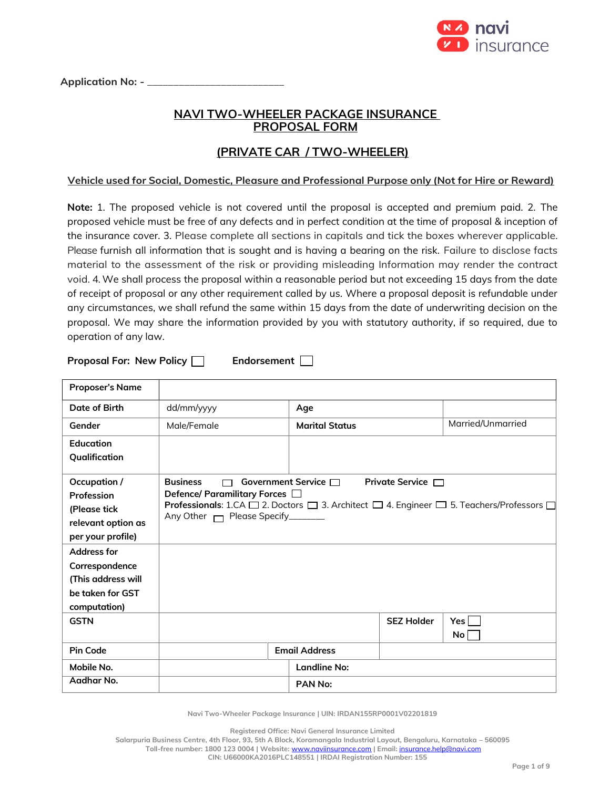

Application No: - \_

## **NAVI TWO-WHEELER PACKAGE INSURANCE PROPOSAL FORM**

# **(PRIVATE CAR / TWO-WHEELER)**

## **Vehicle used for Social, Domestic, Pleasure and Professional Purpose only (Not for Hire or Reward)**

**Note:** 1. The proposed vehicle is not covered until the proposal is accepted and premium paid. 2. The proposed vehicle must be free of any defects and in perfect condition at the time of proposal & inception of the insurance cover. 3. Please complete all sections in capitals and tick the boxes wherever applicable. Please furnish all information that is sought and is having a bearing on the risk. Failure to disclose facts material to the assessment of the risk or providing misleading Information may render the contract void. 4. We shall process the proposal within a reasonable period but not exceeding 15 days from the date of receipt of proposal or any other requirement called by us. Where a proposal deposit is refundable under any circumstances, we shall refund the same within 15 days from the date of underwriting decision on the proposal. We may share the information provided by you with statutory authority, if so required, due to operation of any law.

**Proposal For: New Policy | Endorsement** |

| <b>Proposer's Name</b>                                                                                      |                                                                               |                           |                        |                                                                                                                                         |
|-------------------------------------------------------------------------------------------------------------|-------------------------------------------------------------------------------|---------------------------|------------------------|-----------------------------------------------------------------------------------------------------------------------------------------|
| Date of Birth                                                                                               | dd/mm/yyyy                                                                    | Age                       |                        |                                                                                                                                         |
| Gender                                                                                                      | Male/Female                                                                   | <b>Marital Status</b>     |                        | Married/Unmarried                                                                                                                       |
| Education                                                                                                   |                                                                               |                           |                        |                                                                                                                                         |
| Qualification                                                                                               |                                                                               |                           |                        |                                                                                                                                         |
| Occupation /<br>Profession<br>(Please tick<br>relevant option as<br>per your profile)<br><b>Address for</b> | <b>Business</b><br>Defence/ Paramilitary Forces □<br>Any Other Mease Specify_ | Government Service $\Box$ | Private Service $\Box$ | <b>Professionals:</b> 1.CA $\square$ 2. Doctors $\square$ 3. Architect $\square$ 4. Engineer $\square$ 5. Teachers/Professors $\square$ |
| Correspondence                                                                                              |                                                                               |                           |                        |                                                                                                                                         |
| (This address will                                                                                          |                                                                               |                           |                        |                                                                                                                                         |
| be taken for GST                                                                                            |                                                                               |                           |                        |                                                                                                                                         |
| computation)<br><b>GSTN</b>                                                                                 |                                                                               |                           | <b>SEZ Holder</b>      | Yes l<br>No <sub>1</sub>                                                                                                                |
| <b>Pin Code</b>                                                                                             |                                                                               | <b>Email Address</b>      |                        |                                                                                                                                         |
| Mobile No.                                                                                                  |                                                                               | <b>Landline No:</b>       |                        |                                                                                                                                         |
| Aadhar No.                                                                                                  |                                                                               | PAN No:                   |                        |                                                                                                                                         |

**Navi Two-Wheeler Package Insurance | UIN: IRDAN155RP0001V02201819**

**Registered Office: Navi General Insurance Limited**

**Salarpuria Business Centre, 4th Floor, 93, 5th A Block, Koramangala Industrial Layout, Bengaluru, Karnataka – 560095 Toll-free number: 1800 123 0004 | Website:** [www.naviinsurance.com](http://www.naviinsurance.com/) **| Email:** [insurance.help@navi.com](mailto:insurance.help@navi.com)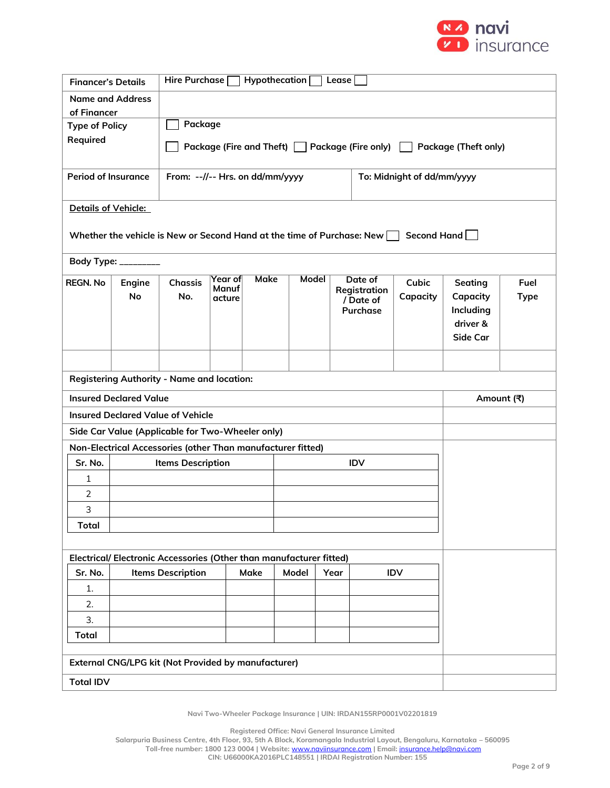

| <b>Financer's Details</b>                                                     |                          | Hire Purchase $\Box$<br>Hypothecation [<br>Lease                                |      |                             |       |                                                  |                   |                                                          |                     |  |  |
|-------------------------------------------------------------------------------|--------------------------|---------------------------------------------------------------------------------|------|-----------------------------|-------|--------------------------------------------------|-------------------|----------------------------------------------------------|---------------------|--|--|
| <b>Name and Address</b><br>of Financer                                        |                          |                                                                                 |      |                             |       |                                                  |                   |                                                          |                     |  |  |
| <b>Type of Policy</b>                                                         |                          | Package                                                                         |      |                             |       |                                                  |                   |                                                          |                     |  |  |
| Required                                                                      |                          | Package (Fire and Theft) □ Package (Fire only) [<br><b>Package (Theft only)</b> |      |                             |       |                                                  |                   |                                                          |                     |  |  |
| <b>Period of Insurance</b>                                                    |                          | From: --//-- Hrs. on dd/mm/yyyy<br>To: Midnight of dd/mm/yyyy                   |      |                             |       |                                                  |                   |                                                          |                     |  |  |
| <b>Details of Vehicle:</b>                                                    |                          |                                                                                 |      |                             |       |                                                  |                   |                                                          |                     |  |  |
| Whether the vehicle is New or Second Hand at the time of Purchase: New $\Box$ |                          |                                                                                 |      |                             |       |                                                  | Second Hand       |                                                          |                     |  |  |
| Body Type: _________                                                          |                          |                                                                                 |      |                             |       |                                                  |                   |                                                          |                     |  |  |
| <b>REGN. No</b><br>Engine<br><b>No</b>                                        | <b>Chassis</b><br>No.    | Year of<br>Manuf<br>acture                                                      | Make |                             | Model | Date of<br>Registration<br>/ Date of<br>Purchase | Cubic<br>Capacity | Seating<br>Capacity<br>Including<br>driver &<br>Side Car | Fuel<br><b>Type</b> |  |  |
|                                                                               |                          |                                                                                 |      |                             |       |                                                  |                   |                                                          |                     |  |  |
| <b>Registering Authority - Name and location:</b>                             |                          |                                                                                 |      |                             |       |                                                  |                   |                                                          |                     |  |  |
| <b>Insured Declared Value</b>                                                 | Amount (쿡)               |                                                                                 |      |                             |       |                                                  |                   |                                                          |                     |  |  |
| <b>Insured Declared Value of Vehicle</b>                                      |                          |                                                                                 |      |                             |       |                                                  |                   |                                                          |                     |  |  |
| Side Car Value (Applicable for Two-Wheeler only)                              |                          |                                                                                 |      |                             |       |                                                  |                   |                                                          |                     |  |  |
| Non-Electrical Accessories (other Than manufacturer fitted)                   |                          |                                                                                 |      |                             |       |                                                  |                   |                                                          |                     |  |  |
| Sr. No.                                                                       | <b>Items Description</b> |                                                                                 |      |                             |       | <b>IDV</b>                                       |                   |                                                          |                     |  |  |
| 1<br>$\overline{2}$                                                           |                          |                                                                                 |      |                             |       |                                                  |                   |                                                          |                     |  |  |
| 3                                                                             |                          |                                                                                 |      |                             |       |                                                  |                   |                                                          |                     |  |  |
| <b>Total</b>                                                                  |                          |                                                                                 |      |                             |       |                                                  |                   |                                                          |                     |  |  |
|                                                                               |                          |                                                                                 |      |                             |       |                                                  |                   |                                                          |                     |  |  |
| Electrical/Electronic Accessories (Other than manufacturer fitted)            |                          |                                                                                 |      |                             |       |                                                  |                   |                                                          |                     |  |  |
| Sr. No.                                                                       | <b>Items Description</b> |                                                                                 | Make | Model<br>Year<br><b>IDV</b> |       |                                                  |                   |                                                          |                     |  |  |
| 1.                                                                            |                          |                                                                                 |      |                             |       |                                                  |                   |                                                          |                     |  |  |
| 2.                                                                            |                          |                                                                                 |      |                             |       |                                                  |                   |                                                          |                     |  |  |
| 3.                                                                            |                          |                                                                                 |      |                             |       |                                                  |                   |                                                          |                     |  |  |
| <b>Total</b>                                                                  |                          |                                                                                 |      |                             |       |                                                  |                   |                                                          |                     |  |  |
| External CNG/LPG kit (Not Provided by manufacturer)                           |                          |                                                                                 |      |                             |       |                                                  |                   |                                                          |                     |  |  |
| <b>Total IDV</b>                                                              |                          |                                                                                 |      |                             |       |                                                  |                   |                                                          |                     |  |  |

**Navi Two-Wheeler Package Insurance | UIN: IRDAN155RP0001V02201819**

**Registered Office: Navi General Insurance Limited**

**Salarpuria Business Centre, 4th Floor, 93, 5th A Block, Koramangala Industrial Layout, Bengaluru, Karnataka – 560095**

**Toll-free number: 1800 123 0004 | Website:** [www.naviinsurance.com](http://www.naviinsurance.com/) **| Email:** [insurance.help@navi.com](mailto:insurance.help@navi.com)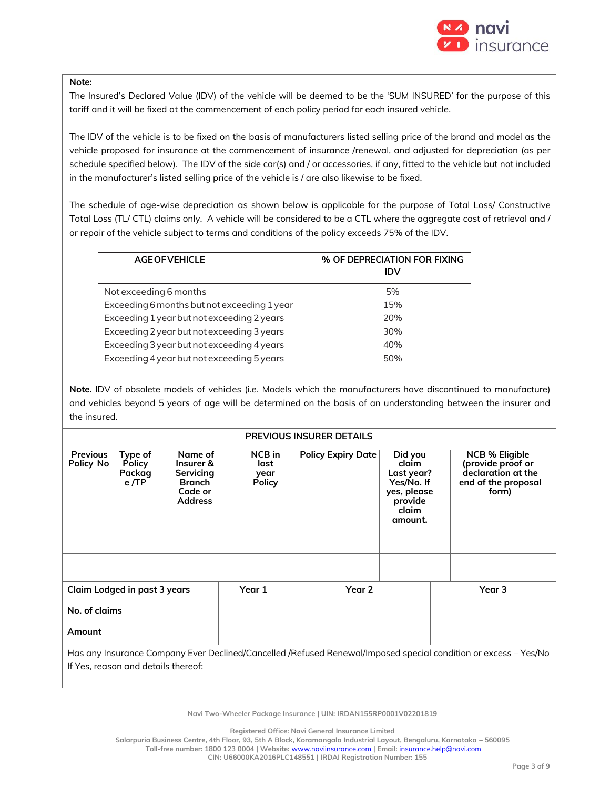

#### **Note:**

The Insured's Declared Value (IDV) of the vehicle will be deemed to be the 'SUM INSURED' for the purpose of this tariff and it will be fixed at the commencement of each policy period for each insured vehicle.

The IDV of the vehicle is to be fixed on the basis of manufacturers listed selling price of the brand and model as the vehicle proposed for insurance at the commencement of insurance /renewal, and adjusted for depreciation (as per schedule specified below). The IDV of the side car(s) and / or accessories, if any, fitted to the vehicle but not included in the manufacturer's listed selling price of the vehicle is / are also likewise to be fixed.

The schedule of age-wise depreciation as shown below is applicable for the purpose of Total Loss/ Constructive Total Loss (TL/ CTL) claims only. A vehicle will be considered to be a CTL where the aggregate cost of retrieval and / or repair of the vehicle subject to terms and conditions of the policy exceeds 75% of the IDV.

| <b>AGE OF VEHICLE</b>                       | % OF DEPRECIATION FOR FIXING<br>IDV |
|---------------------------------------------|-------------------------------------|
| Not exceeding 6 months                      | 5%                                  |
| Exceeding 6 months but not exceeding 1 year | 15%                                 |
| Exceeding 1 year but not exceeding 2 years  | 20%                                 |
| Exceeding 2 year but not exceeding 3 years  | 30%                                 |
| Exceeding 3 year but not exceeding 4 years  | 40%                                 |
| Exceeding 4 year but not exceeding 5 years  | 50%                                 |

**Note.** IDV of obsolete models of vehicles (i.e. Models which the manufacturers have discontinued to manufacture) and vehicles beyond 5 years of age will be determined on the basis of an understanding between the insurer and the insured.

#### **PREVIOUS INSURER DETAILS**

| <b>Previous</b><br>Policy No        | Type of<br><b>Policy</b><br>Packag<br>e/TP | Name of<br>Insurer &<br>Servicing<br><b>Branch</b><br>Code or<br><b>Address</b> | NCB in<br>last<br>year<br><b>Policy</b> | <b>Policy Expiry Date</b> | Did you<br>claim<br>Last year?<br>Yes/No. If<br>yes, please<br>provide<br>claim<br>amount. | <b>NCB % Eligible</b><br>(provide proof or<br>declaration at the<br>end of the proposal<br>form)                |
|-------------------------------------|--------------------------------------------|---------------------------------------------------------------------------------|-----------------------------------------|---------------------------|--------------------------------------------------------------------------------------------|-----------------------------------------------------------------------------------------------------------------|
|                                     |                                            |                                                                                 |                                         |                           |                                                                                            |                                                                                                                 |
| <b>Claim Lodged in past 3 years</b> |                                            | Year 1                                                                          | Year 2                                  |                           | Year 3                                                                                     |                                                                                                                 |
| No. of claims                       |                                            |                                                                                 |                                         |                           |                                                                                            |                                                                                                                 |
| Amount                              |                                            |                                                                                 |                                         |                           |                                                                                            |                                                                                                                 |
|                                     |                                            |                                                                                 |                                         |                           |                                                                                            | Has any Insurance Company Ever Declined/Cancelled /Refused Renewal/Imposed special condition or excess – Yes/No |

If Yes, reason and details thereof:

**Navi Two-Wheeler Package Insurance | UIN: IRDAN155RP0001V02201819**

**Registered Office: Navi General Insurance Limited**

**Salarpuria Business Centre, 4th Floor, 93, 5th A Block, Koramangala Industrial Layout, Bengaluru, Karnataka – 560095**

**Toll-free number: 1800 123 0004 | Website:** [www.naviinsurance.com](http://www.naviinsurance.com/) **| Email:** [insurance.help@navi.com](mailto:insurance.help@navi.com)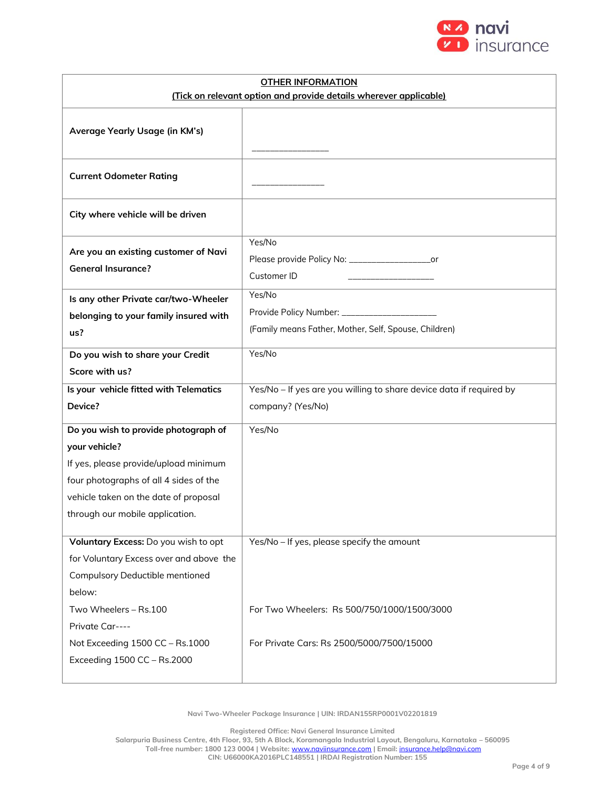

| <b>OTHER INFORMATION</b>                                          |                                                                             |  |  |  |  |
|-------------------------------------------------------------------|-----------------------------------------------------------------------------|--|--|--|--|
| (Tick on relevant option and provide details wherever applicable) |                                                                             |  |  |  |  |
| Average Yearly Usage (in KM's)                                    |                                                                             |  |  |  |  |
| <b>Current Odometer Rating</b>                                    |                                                                             |  |  |  |  |
| City where vehicle will be driven                                 |                                                                             |  |  |  |  |
| Are you an existing customer of Navi<br><b>General Insurance?</b> | Yes/No<br>Please provide Policy No: ______________________or<br>Customer ID |  |  |  |  |
| Is any other Private car/two-Wheeler                              | Yes/No                                                                      |  |  |  |  |
| belonging to your family insured with                             |                                                                             |  |  |  |  |
| us?                                                               | (Family means Father, Mother, Self, Spouse, Children)                       |  |  |  |  |
| Do you wish to share your Credit                                  | Yes/No                                                                      |  |  |  |  |
| Score with us?                                                    |                                                                             |  |  |  |  |
| Is your vehicle fitted with Telematics                            | Yes/No - If yes are you willing to share device data if required by         |  |  |  |  |
| Device?                                                           | company? (Yes/No)                                                           |  |  |  |  |
| Do you wish to provide photograph of                              | Yes/No                                                                      |  |  |  |  |
| your vehicle?                                                     |                                                                             |  |  |  |  |
| If yes, please provide/upload minimum                             |                                                                             |  |  |  |  |
| four photographs of all 4 sides of the                            |                                                                             |  |  |  |  |
| vehicle taken on the date of proposal                             |                                                                             |  |  |  |  |
| through our mobile application.                                   |                                                                             |  |  |  |  |
| Voluntary Excess: Do you wish to opt                              | Yes/No - If yes, please specify the amount                                  |  |  |  |  |
| for Voluntary Excess over and above the                           |                                                                             |  |  |  |  |
| <b>Compulsory Deductible mentioned</b>                            |                                                                             |  |  |  |  |
| below:                                                            |                                                                             |  |  |  |  |
| Two Wheelers - Rs.100                                             | For Two Wheelers: Rs 500/750/1000/1500/3000                                 |  |  |  |  |
| Private Car----                                                   |                                                                             |  |  |  |  |
| Not Exceeding 1500 CC - Rs.1000                                   | For Private Cars: Rs 2500/5000/7500/15000                                   |  |  |  |  |
| Exceeding 1500 CC - Rs.2000                                       |                                                                             |  |  |  |  |
|                                                                   |                                                                             |  |  |  |  |

**Navi Two-Wheeler Package Insurance | UIN: IRDAN155RP0001V02201819**

**Registered Office: Navi General Insurance Limited**

**Salarpuria Business Centre, 4th Floor, 93, 5th A Block, Koramangala Industrial Layout, Bengaluru, Karnataka – 560095 Toll-free number: 1800 123 0004 | Website:** [www.naviinsurance.com](http://www.naviinsurance.com/) **| Email:** [insurance.help@navi.com](mailto:insurance.help@navi.com) **CIN: U66000KA2016PLC148551 | IRDAI Registration Number: 155**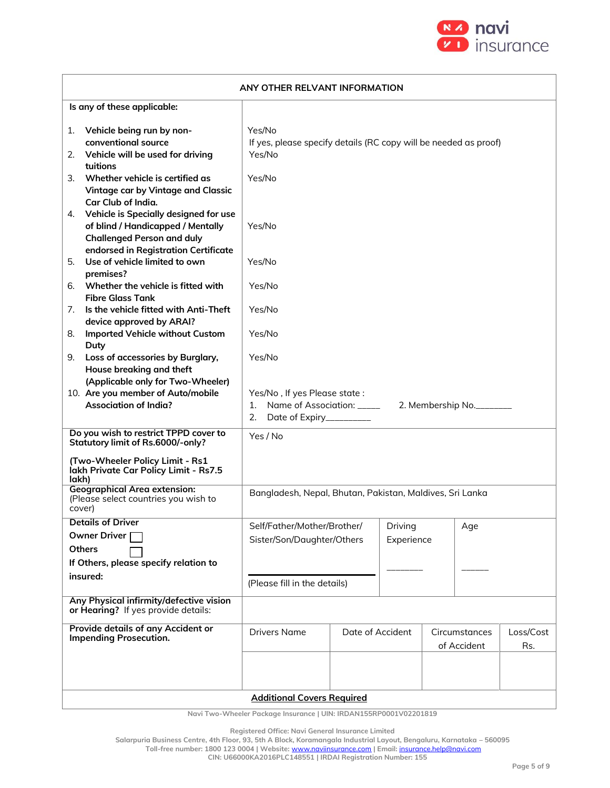

| ANY OTHER RELVANT INFORMATION                                                                                                                                 |                                                                                      |                  |                       |  |                              |                  |
|---------------------------------------------------------------------------------------------------------------------------------------------------------------|--------------------------------------------------------------------------------------|------------------|-----------------------|--|------------------------------|------------------|
| Is any of these applicable:                                                                                                                                   |                                                                                      |                  |                       |  |                              |                  |
| Vehicle being run by non-<br>1.<br>conventional source<br>Vehicle will be used for driving<br>2.                                                              | Yes/No<br>If yes, please specify details (RC copy will be needed as proof)<br>Yes/No |                  |                       |  |                              |                  |
| tuitions<br>Whether vehicle is certified as<br>3.<br>Vintage car by Vintage and Classic<br>Car Club of India.                                                 | Yes/No                                                                               |                  |                       |  |                              |                  |
| Vehicle is Specially designed for use<br>4.<br>of blind / Handicapped / Mentally<br><b>Challenged Person and duly</b><br>endorsed in Registration Certificate | Yes/No                                                                               |                  |                       |  |                              |                  |
| Use of vehicle limited to own<br>5.<br>premises?                                                                                                              | Yes/No                                                                               |                  |                       |  |                              |                  |
| Whether the vehicle is fitted with<br>6.<br><b>Fibre Glass Tank</b>                                                                                           | Yes/No                                                                               |                  |                       |  |                              |                  |
| Is the vehicle fitted with Anti-Theft<br>7.<br>device approved by ARAI?                                                                                       | Yes/No                                                                               |                  |                       |  |                              |                  |
| Imported Vehicle without Custom<br>8.<br>Duty                                                                                                                 | Yes/No                                                                               |                  |                       |  |                              |                  |
| Loss of accessories by Burglary,<br>9.<br>House breaking and theft<br>(Applicable only for Two-Wheeler)                                                       | Yes/No                                                                               |                  |                       |  |                              |                  |
| 10. Are you member of Auto/mobile<br><b>Association of India?</b>                                                                                             | Yes/No, If yes Please state:<br>2. Date of Expiry__________                          |                  |                       |  |                              |                  |
| Do you wish to restrict TPPD cover to<br>Statutory limit of Rs.6000/-only?                                                                                    | Yes / No                                                                             |                  |                       |  |                              |                  |
| (Two-Wheeler Policy Limit - Rs1<br>lakh Private Car Policy Limit - Rs7.5<br>lakh)                                                                             |                                                                                      |                  |                       |  |                              |                  |
| <b>Geographical Area extension:</b><br>(Please select countries you wish to<br>cover)                                                                         | Bangladesh, Nepal, Bhutan, Pakistan, Maldives, Sri Lanka                             |                  |                       |  |                              |                  |
| <b>Details of Driver</b><br>Owner Driver<br><b>Others</b><br>If Others, please specify relation to                                                            | Self/Father/Mother/Brother/<br>Sister/Son/Daughter/Others                            |                  | Driving<br>Experience |  | $Age \,$                     |                  |
| insured:                                                                                                                                                      | (Please fill in the details)                                                         |                  |                       |  |                              |                  |
| Any Physical infirmity/defective vision<br>or Hearing? If yes provide details:                                                                                |                                                                                      |                  |                       |  |                              |                  |
| Provide details of any Accident or<br><b>Impending Prosecution.</b>                                                                                           | <b>Drivers Name</b>                                                                  | Date of Accident |                       |  | Circumstances<br>of Accident | Loss/Cost<br>Rs. |
|                                                                                                                                                               | <b>Additional Covers Required</b>                                                    |                  |                       |  |                              |                  |

**Navi Two-Wheeler Package Insurance | UIN: IRDAN155RP0001V02201819**

**Registered Office: Navi General Insurance Limited**

**Salarpuria Business Centre, 4th Floor, 93, 5th A Block, Koramangala Industrial Layout, Bengaluru, Karnataka – 560095**

**Toll-free number: 1800 123 0004 | Website:** [www.naviinsurance.com](http://www.naviinsurance.com/) **| Email:** [insurance.help@navi.com](mailto:insurance.help@navi.com)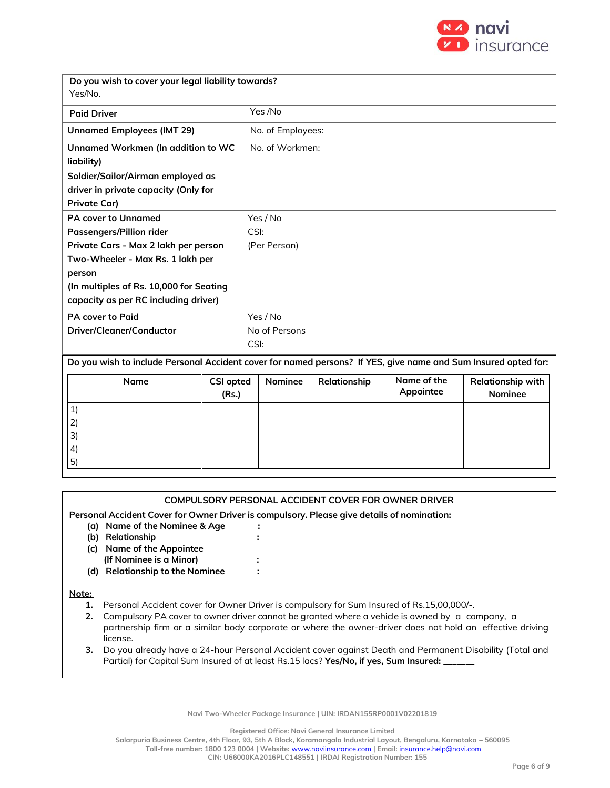

| Do you wish to cover your legal liability towards?<br>Yes/No.                                                  |                           |               |                   |              |                          |                                            |  |  |
|----------------------------------------------------------------------------------------------------------------|---------------------------|---------------|-------------------|--------------|--------------------------|--------------------------------------------|--|--|
| <b>Paid Driver</b>                                                                                             |                           |               | Yes /No           |              |                          |                                            |  |  |
| <b>Unnamed Employees (IMT 29)</b>                                                                              |                           |               | No. of Employees: |              |                          |                                            |  |  |
| Unnamed Workmen (In addition to WC<br>liability)                                                               |                           |               | No. of Workmen:   |              |                          |                                            |  |  |
| Soldier/Sailor/Airman employed as                                                                              |                           |               |                   |              |                          |                                            |  |  |
| driver in private capacity (Only for                                                                           |                           |               |                   |              |                          |                                            |  |  |
| <b>Private Car)</b>                                                                                            |                           |               |                   |              |                          |                                            |  |  |
| <b>PA cover to Unnamed</b>                                                                                     |                           |               | Yes / No          |              |                          |                                            |  |  |
| Passengers/Pillion rider                                                                                       |                           | CSI:          |                   |              |                          |                                            |  |  |
| Private Cars - Max 2 lakh per person                                                                           |                           | (Per Person)  |                   |              |                          |                                            |  |  |
| Two-Wheeler - Max Rs. 1 lakh per                                                                               |                           |               |                   |              |                          |                                            |  |  |
| person                                                                                                         |                           |               |                   |              |                          |                                            |  |  |
| (In multiples of Rs. 10,000 for Seating                                                                        |                           |               |                   |              |                          |                                            |  |  |
| capacity as per RC including driver)                                                                           |                           |               |                   |              |                          |                                            |  |  |
| <b>PA cover to Paid</b>                                                                                        |                           |               | Yes / No          |              |                          |                                            |  |  |
| Driver/Cleaner/Conductor                                                                                       |                           | No of Persons |                   |              |                          |                                            |  |  |
|                                                                                                                |                           | CSI:          |                   |              |                          |                                            |  |  |
| Do you wish to include Personal Accident cover for named persons? If YES, give name and Sum Insured opted for: |                           |               |                   |              |                          |                                            |  |  |
| <b>Name</b>                                                                                                    | <b>CSI opted</b><br>(Rs.) |               | Nominee           | Relationship | Name of the<br>Appointee | <b>Relationship with</b><br><b>Nominee</b> |  |  |
| 1)                                                                                                             |                           |               |                   |              |                          |                                            |  |  |
| 2)                                                                                                             |                           |               |                   |              |                          |                                            |  |  |
| 3)                                                                                                             |                           |               |                   |              |                          |                                            |  |  |
| 4)                                                                                                             |                           |               |                   |              |                          |                                            |  |  |

## **COMPULSORY PERSONAL ACCIDENT COVER FOR OWNER DRIVER**

**Personal Accident Cover for Owner Driver is compulsory. Please give details of nomination:**

- **(a) Name of the Nominee & Age :**
- **(b) Relationship :**
- **(c) Name of the Appointee**
- **(If Nominee is a Minor) :**
- (Note: The maximum CSI available per person is Rs.2 Lakhs in case of Private Cars and Rs.1 Lakh in the case of **(d) Relationship to the Nominee :**

Motorized Two Wheelers) **Note:**

5)

- **1.** Personal Accident cover for Owner Driver is compulsory for Sum Insured of Rs.15,00,000/-.
- **2.** Compulsory PA cover to owner driver cannot be granted where a vehicle is owned by a company, a partnership firm or a similar body corporate or where the owner-driver does not hold an effective driving license.
- **3.** Do you already have a 24-hour Personal Accident cover against Death and Permanent Disability (Total and Partial) for Capital Sum Insured of at least Rs.15 lacs? Yes/No, if yes, Sum Insured: \_

**Navi Two-Wheeler Package Insurance | UIN: IRDAN155RP0001V02201819**

**Registered Office: Navi General Insurance Limited**

**Salarpuria Business Centre, 4th Floor, 93, 5th A Block, Koramangala Industrial Layout, Bengaluru, Karnataka – 560095**

**Toll-free number: 1800 123 0004 | Website:** [www.naviinsurance.com](http://www.naviinsurance.com/) **| Email:** [insurance.help@navi.com](mailto:insurance.help@navi.com)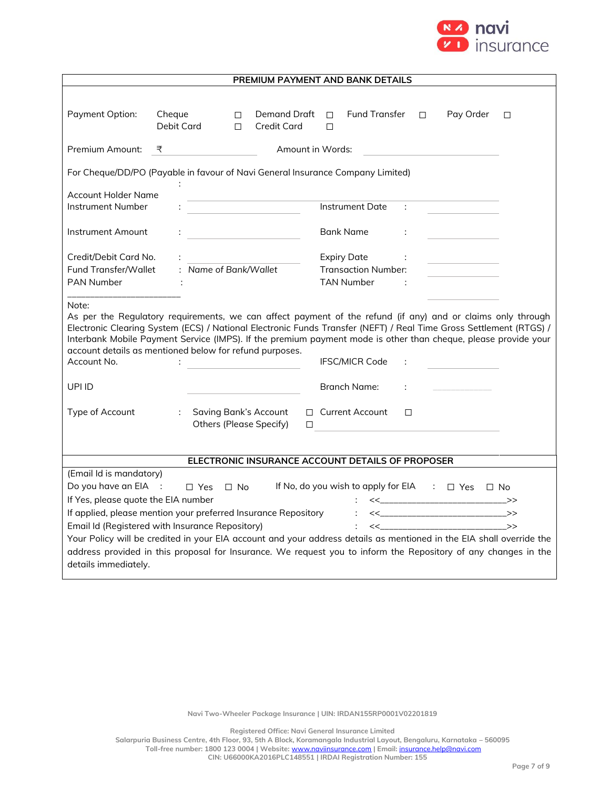

|                                                                                                                                                                                                                                                                                                                                                                                                                         |            |                                                         | PREMIUM PAYMENT AND BANK DETAILS                                                                                                                                                                                                       |        |                                                                                              |  |  |  |
|-------------------------------------------------------------------------------------------------------------------------------------------------------------------------------------------------------------------------------------------------------------------------------------------------------------------------------------------------------------------------------------------------------------------------|------------|---------------------------------------------------------|----------------------------------------------------------------------------------------------------------------------------------------------------------------------------------------------------------------------------------------|--------|----------------------------------------------------------------------------------------------|--|--|--|
| Payment Option:                                                                                                                                                                                                                                                                                                                                                                                                         | Cheque     | Demand Draft<br>П                                       | <b>Fund Transfer</b><br>П.                                                                                                                                                                                                             | $\Box$ | Pay Order<br>$\Box$                                                                          |  |  |  |
|                                                                                                                                                                                                                                                                                                                                                                                                                         | Debit Card | <b>Credit Card</b><br>$\Box$                            | П                                                                                                                                                                                                                                      |        |                                                                                              |  |  |  |
| Premium Amount:                                                                                                                                                                                                                                                                                                                                                                                                         | ₹          |                                                         | Amount in Words:                                                                                                                                                                                                                       |        |                                                                                              |  |  |  |
| For Cheque/DD/PO (Payable in favour of Navi General Insurance Company Limited)<br>÷                                                                                                                                                                                                                                                                                                                                     |            |                                                         |                                                                                                                                                                                                                                        |        |                                                                                              |  |  |  |
| <b>Account Holder Name</b>                                                                                                                                                                                                                                                                                                                                                                                              |            |                                                         |                                                                                                                                                                                                                                        |        |                                                                                              |  |  |  |
| Instrument Number                                                                                                                                                                                                                                                                                                                                                                                                       |            |                                                         | Instrument Date                                                                                                                                                                                                                        | ÷      |                                                                                              |  |  |  |
| Instrument Amount                                                                                                                                                                                                                                                                                                                                                                                                       |            | <u> 1980 - Johann Barbara, martxa al</u>                | Bank Name                                                                                                                                                                                                                              |        |                                                                                              |  |  |  |
| Credit/Debit Card No.                                                                                                                                                                                                                                                                                                                                                                                                   |            |                                                         | <b>Expiry Date</b>                                                                                                                                                                                                                     |        |                                                                                              |  |  |  |
| Fund Transfer/Wallet                                                                                                                                                                                                                                                                                                                                                                                                    |            | : Name of Bank/Wallet                                   | <b>Transaction Number:</b>                                                                                                                                                                                                             |        |                                                                                              |  |  |  |
| <b>PAN Number</b>                                                                                                                                                                                                                                                                                                                                                                                                       |            |                                                         | <b>TAN Number</b>                                                                                                                                                                                                                      |        |                                                                                              |  |  |  |
| Note:<br>As per the Regulatory requirements, we can affect payment of the refund (if any) and or claims only through<br>Electronic Clearing System (ECS) / National Electronic Funds Transfer (NEFT) / Real Time Gross Settlement (RTGS) /<br>Interbank Mobile Payment Service (IMPS). If the premium payment mode is other than cheque, please provide your<br>account details as mentioned below for refund purposes. |            |                                                         |                                                                                                                                                                                                                                        |        |                                                                                              |  |  |  |
| Account No.                                                                                                                                                                                                                                                                                                                                                                                                             |            |                                                         | <b>IFSC/MICR Code</b>                                                                                                                                                                                                                  |        |                                                                                              |  |  |  |
| UPI ID                                                                                                                                                                                                                                                                                                                                                                                                                  |            |                                                         | Branch Name:                                                                                                                                                                                                                           |        |                                                                                              |  |  |  |
| Type of Account                                                                                                                                                                                                                                                                                                                                                                                                         | ÷          | <b>Saving Bank's Account</b><br>Others (Please Specify) | □ Current Account<br>$\Box$                                                                                                                                                                                                            | П      |                                                                                              |  |  |  |
|                                                                                                                                                                                                                                                                                                                                                                                                                         |            |                                                         |                                                                                                                                                                                                                                        |        |                                                                                              |  |  |  |
| ELECTRONIC INSURANCE ACCOUNT DETAILS OF PROPOSER                                                                                                                                                                                                                                                                                                                                                                        |            |                                                         |                                                                                                                                                                                                                                        |        |                                                                                              |  |  |  |
| (Email Id is mandatory)<br>Do you have an EIA :<br>If No, do you wish to apply for EIA : $\Box$ Yes $\Box$ No<br>$\Box$ Yes $\Box$ No                                                                                                                                                                                                                                                                                   |            |                                                         |                                                                                                                                                                                                                                        |        |                                                                                              |  |  |  |
| If Yes, please quote the EIA number                                                                                                                                                                                                                                                                                                                                                                                     |            |                                                         |                                                                                                                                                                                                                                        |        | $<< \qquad \qquad \longrightarrow \qquad \qquad \longrightarrow$                             |  |  |  |
| If applied, please mention your preferred Insurance Repository                                                                                                                                                                                                                                                                                                                                                          |            |                                                         | $\mathcal{L}^{\text{max}}$                                                                                                                                                                                                             |        | $\left\langle \left\langle \mathcal{L}_{\text{max}}\right\rangle \right\rangle \geqslant 0.$ |  |  |  |
| Email Id (Registered with Insurance Repository)                                                                                                                                                                                                                                                                                                                                                                         |            |                                                         | $\mathcal{L}$                                                                                                                                                                                                                          |        | $\left\langle \left\langle \right\rangle \right\rangle$                                      |  |  |  |
| details immediately.                                                                                                                                                                                                                                                                                                                                                                                                    |            |                                                         | Your Policy will be credited in your EIA account and your address details as mentioned in the EIA shall override the<br>address provided in this proposal for Insurance. We request you to inform the Repository of any changes in the |        |                                                                                              |  |  |  |

**Registered Office: Navi General Insurance Limited**

**Salarpuria Business Centre, 4th Floor, 93, 5th A Block, Koramangala Industrial Layout, Bengaluru, Karnataka – 560095 Toll-free number: 1800 123 0004 | Website:** [www.naviinsurance.com](http://www.naviinsurance.com/) **| Email:** [insurance.help@navi.com](mailto:insurance.help@navi.com)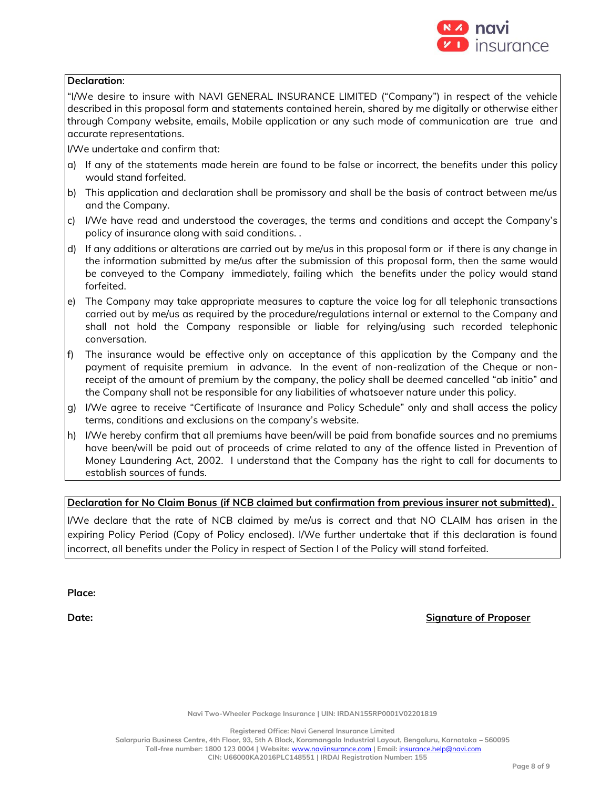

#### **Declaration**:

"I/We desire to insure with NAVI GENERAL INSURANCE LIMITED ("Company") in respect of the vehicle described in this proposal form and statements contained herein, shared by me digitally or otherwise either through Company website, emails, Mobile application or any such mode of communication are true and accurate representations.

I/We undertake and confirm that:

- a) If any of the statements made herein are found to be false or incorrect, the benefits under this policy would stand forfeited.
- b) This application and declaration shall be promissory and shall be the basis of contract between me/us and the Company.
- c) I/We have read and understood the coverages, the terms and conditions and accept the Company's policy of insurance along with said conditions. .
- d) If any additions or alterations are carried out by me/us in this proposal form or if there is any change in the information submitted by me/us after the submission of this proposal form, then the same would be conveyed to the Company immediately, failing which the benefits under the policy would stand forfeited.
- e) The Company may take appropriate measures to capture the voice log for all telephonic transactions carried out by me/us as required by the procedure/regulations internal or external to the Company and shall not hold the Company responsible or liable for relying/using such recorded telephonic conversation.
- f) The insurance would be effective only on acceptance of this application by the Company and the payment of requisite premium in advance. In the event of non-realization of the Cheque or nonreceipt of the amount of premium by the company, the policy shall be deemed cancelled "ab initio" and the Company shall not be responsible for any liabilities of whatsoever nature under this policy.
- g) I/We agree to receive "Certificate of Insurance and Policy Schedule" only and shall access the policy terms, conditions and exclusions on the company's website.
- h) I/We hereby confirm that all premiums have been/will be paid from bonafide sources and no premiums have been/will be paid out of proceeds of crime related to any of the offence listed in Prevention of Money Laundering Act, 2002. I understand that the Company has the right to call for documents to establish sources of funds.

## **Declaration for No Claim Bonus (if NCB claimed but confirmation from previous insurer not submitted).**

I/We declare that the rate of NCB claimed by me/us is correct and that NO CLAIM has arisen in the expiring Policy Period (Copy of Policy enclosed). I/We further undertake that if this declaration is found incorrect, all benefits under the Policy in respect of Section I of the Policy will stand forfeited.

**Place:**

**Date: Signature of Proposer**

**Navi Two-Wheeler Package Insurance | UIN: IRDAN155RP0001V02201819**

**Registered Office: Navi General Insurance Limited**

**Salarpuria Business Centre, 4th Floor, 93, 5th A Block, Koramangala Industrial Layout, Bengaluru, Karnataka – 560095 Toll-free number: 1800 123 0004 | Website:** [www.naviinsurance.com](http://www.naviinsurance.com/) **| Email:** [insurance.help@navi.com](mailto:insurance.help@navi.com)